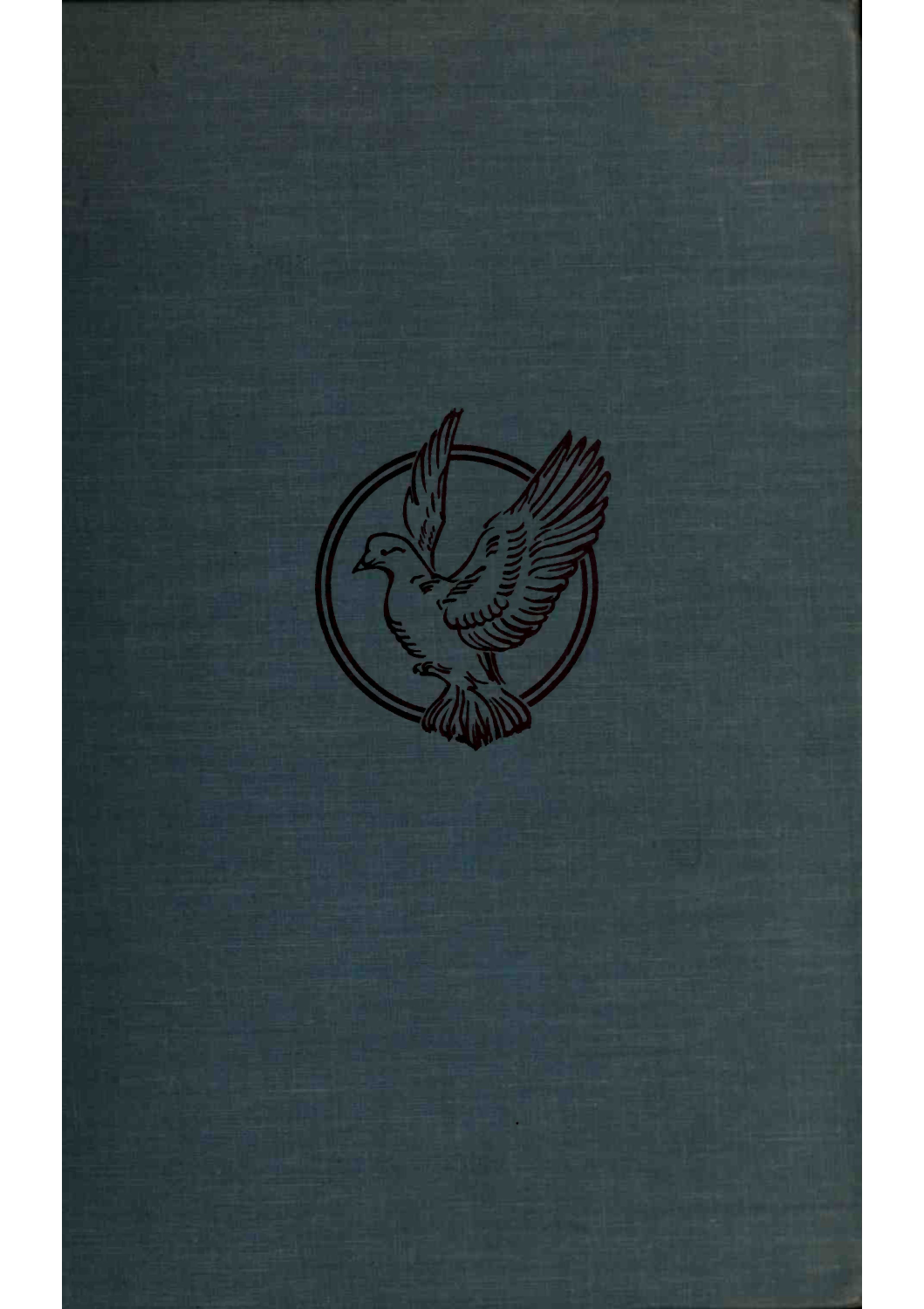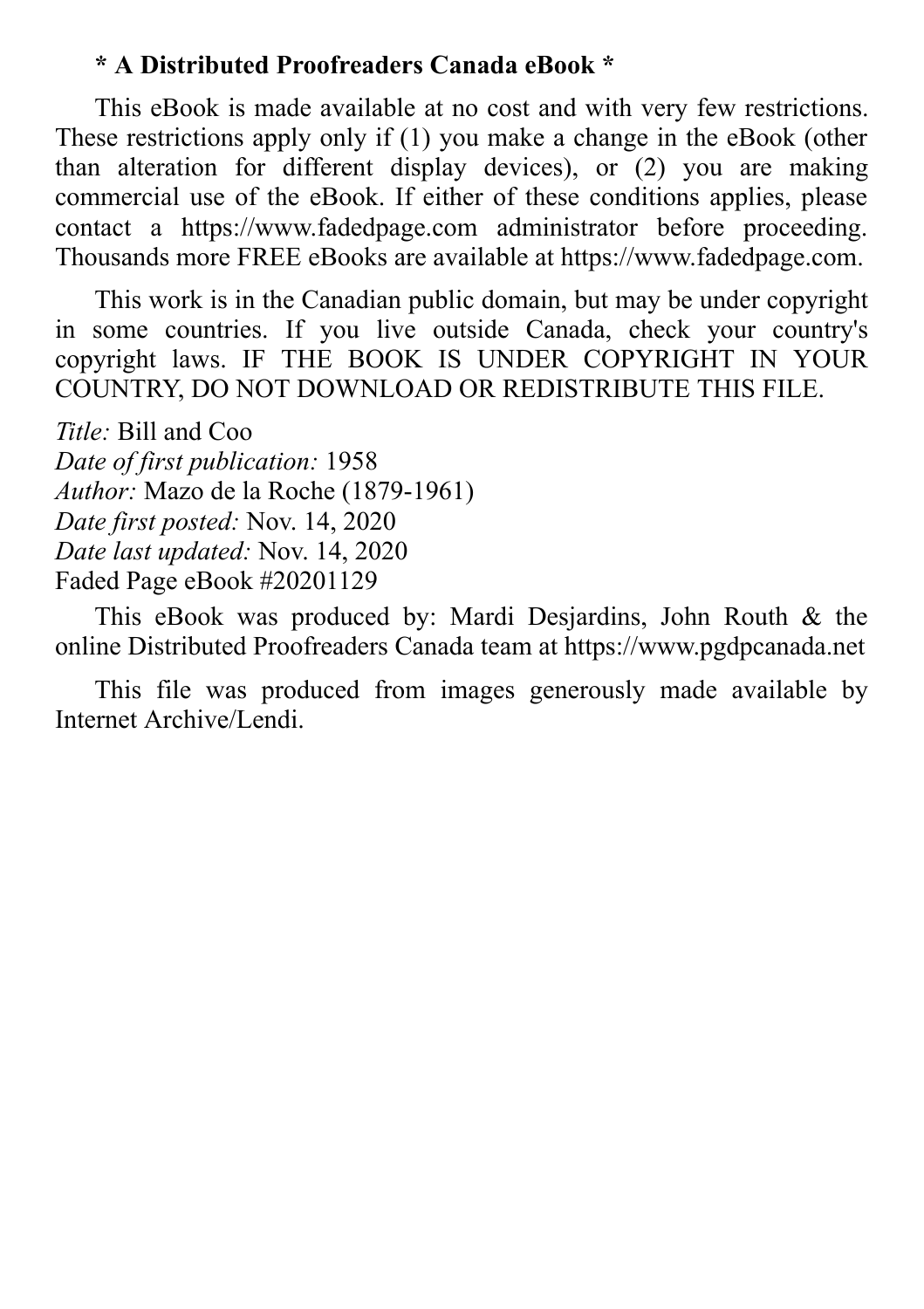#### **\* A Distributed Proofreaders Canada eBook \***

This eBook is made available at no cost and with very few restrictions. These restrictions apply only if (1) you make a change in the eBook (other than alteration for different display devices), or (2) you are making commercial use of the eBook. If either of these conditions applies, please contact a https://www.fadedpage.com administrator before proceeding. Thousands more FREE eBooks are available at https://www.fadedpage.com.

This work is in the Canadian public domain, but may be under copyright in some countries. If you live outside Canada, check your country's copyright laws. IF THE BOOK IS UNDER COPYRIGHT IN YOUR COUNTRY, DO NOT DOWNLOAD OR REDISTRIBUTE THIS FILE.

*Title:* Bill and Coo *Date of first publication:* 1958 *Author:* Mazo de la Roche (1879-1961) *Date first posted:* Nov. 14, 2020 *Date last updated:* Nov. 14, 2020 Faded Page eBook #20201129

This eBook was produced by: Mardi Desjardins, John Routh & the online Distributed Proofreaders Canada team at https://www.pgdpcanada.net

This file was produced from images generously made available by Internet Archive/Lendi.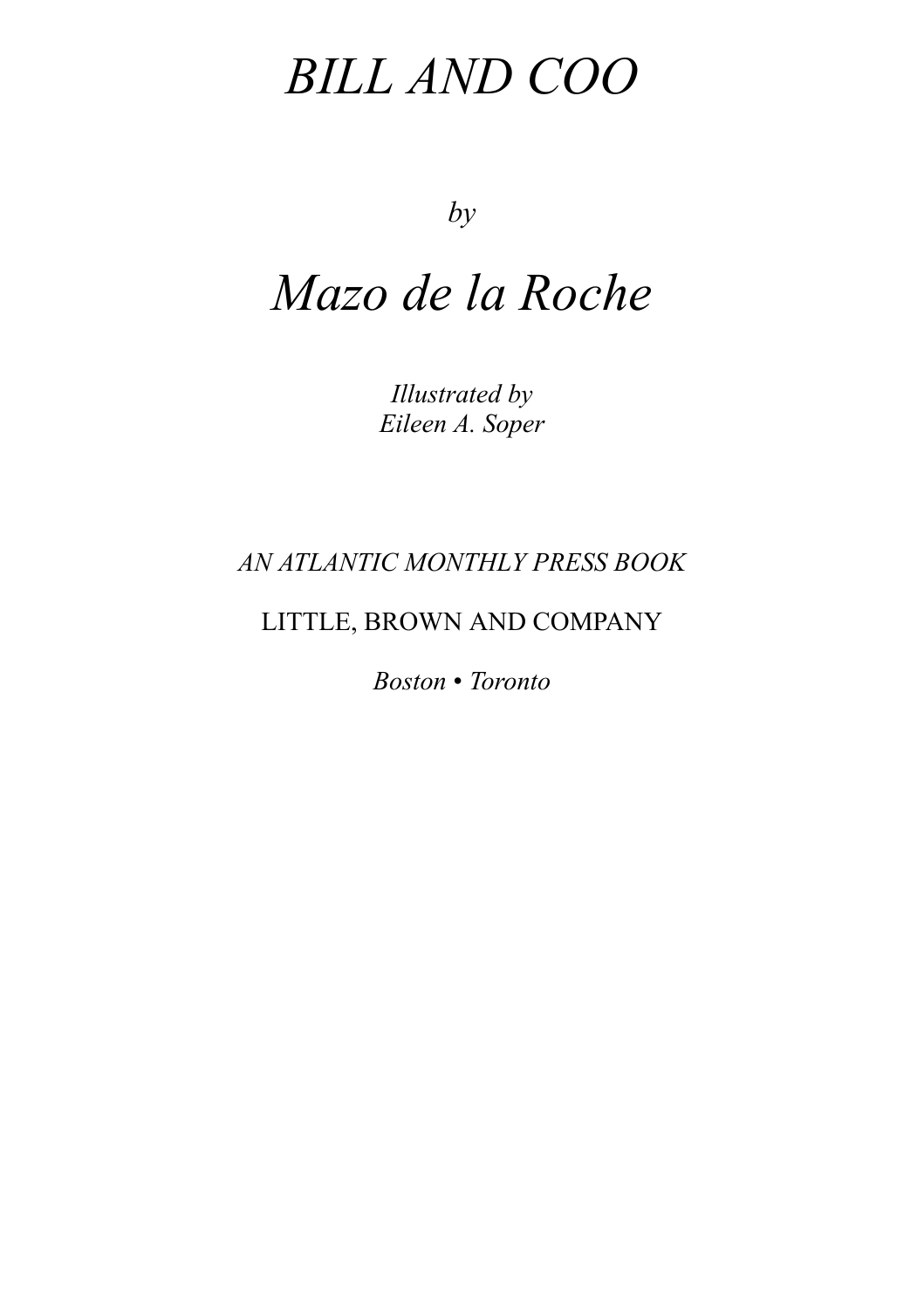# *BILL AND COO*

*by*

## *Mazo de la Roche*

*Illustrated by Eileen A. Soper*

#### *AN ATLANTIC MONTHLY PRESS BOOK*

### LITTLE, BROWN AND COMPANY

*Boston* • *Toronto*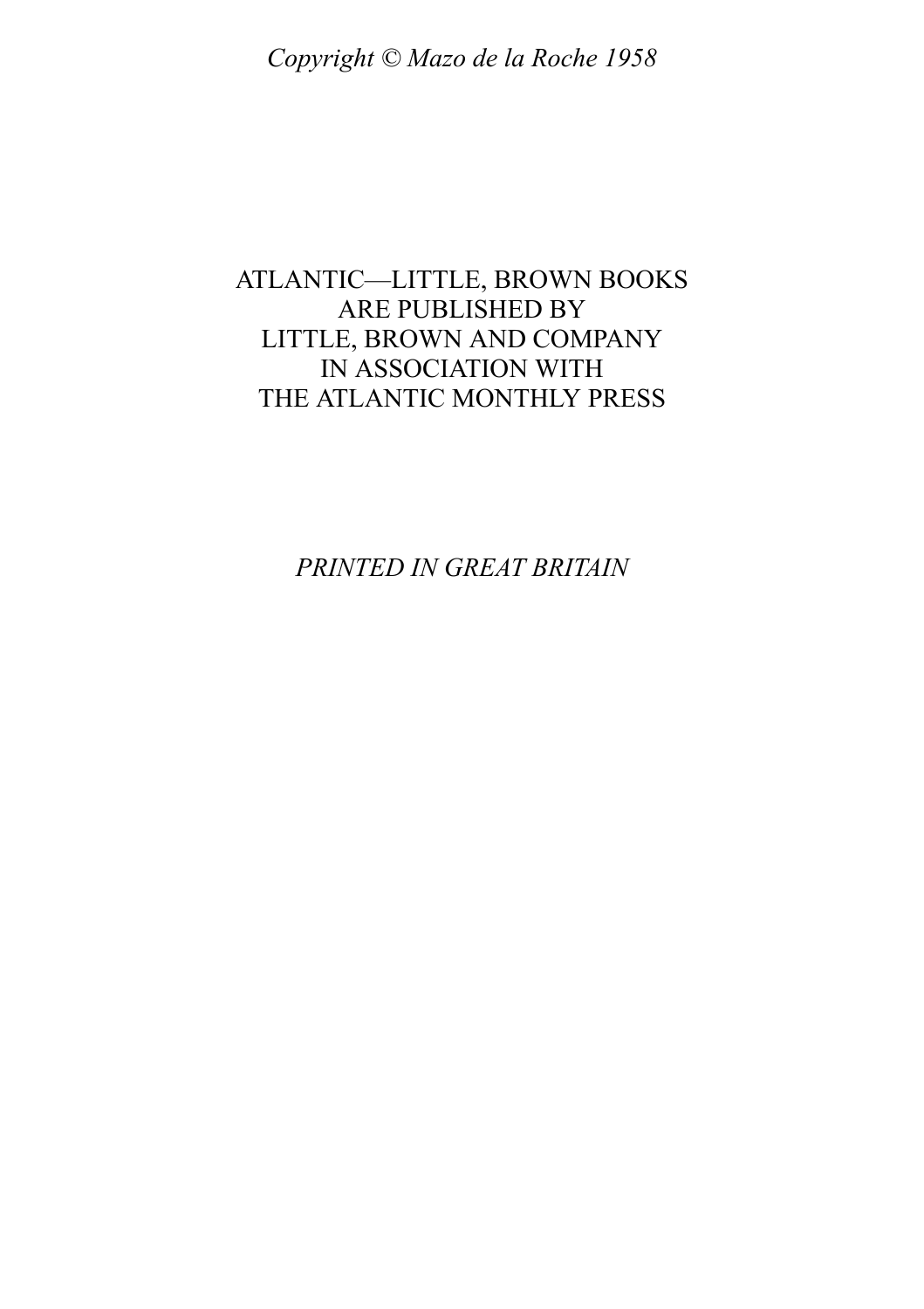### ATLANTIC—LITTLE, BROWN BOOKS ARE PUBLISHED BY LITTLE, BROWN AND COMPANY IN ASSOCIATION WITH THE ATLANTIC MONTHLY PRESS

*PRINTED IN GREAT BRITAIN*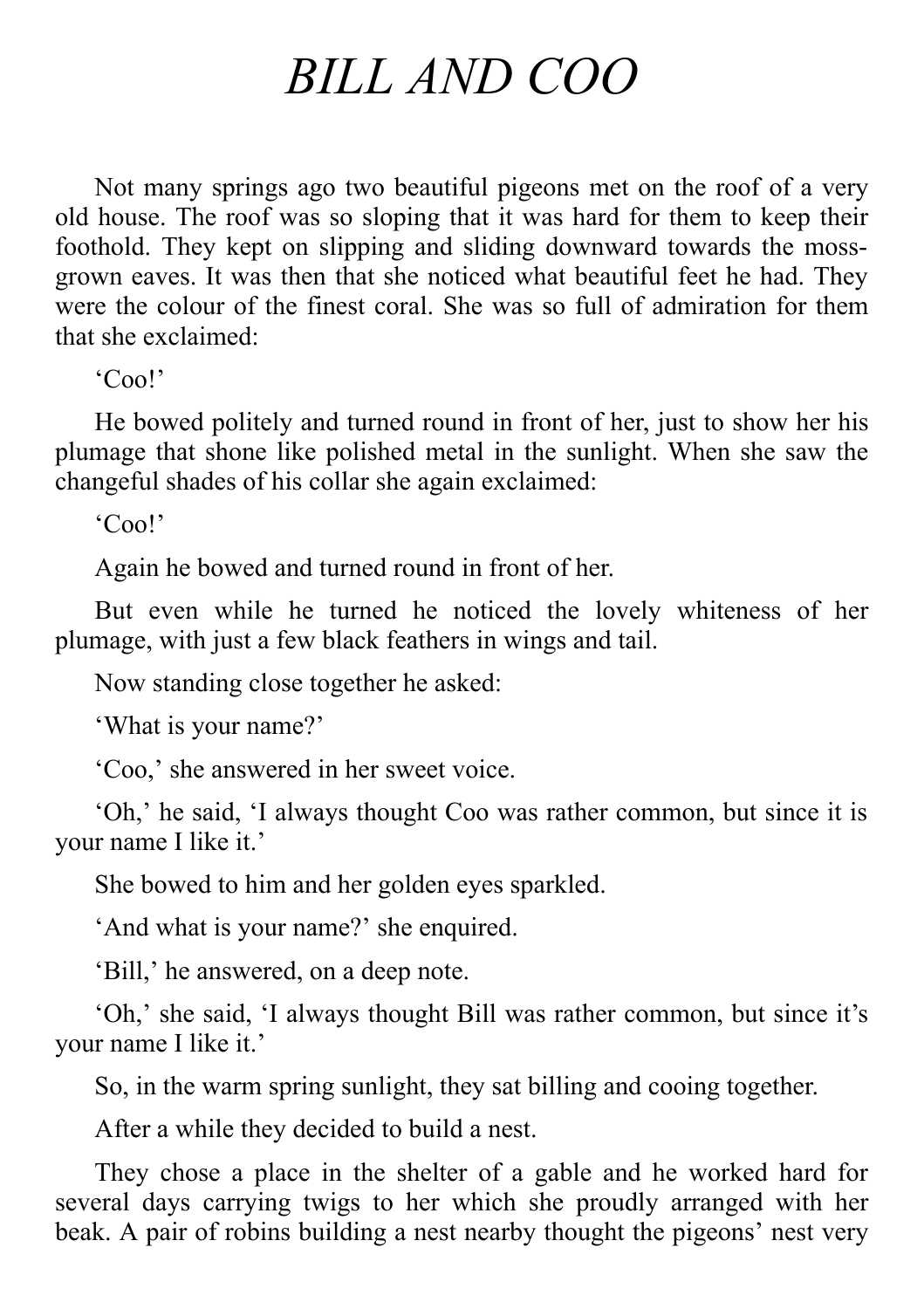## *BILL AND COO*

Not many springs ago two beautiful pigeons met on the roof of a very old house. The roof was so sloping that it was hard for them to keep their foothold. They kept on slipping and sliding downward towards the mossgrown eaves. It was then that she noticed what beautiful feet he had. They were the colour of the finest coral. She was so full of admiration for them that she exclaimed:

'Coo!'

He bowed politely and turned round in front of her, just to show her his plumage that shone like polished metal in the sunlight. When she saw the changeful shades of his collar she again exclaimed:

'Coo!'

Again he bowed and turned round in front of her.

But even while he turned he noticed the lovely whiteness of her plumage, with just a few black feathers in wings and tail.

Now standing close together he asked:

'What is your name?'

'Coo,' she answered in her sweet voice.

'Oh,' he said, 'I always thought Coo was rather common, but since it is your name I like it.'

She bowed to him and her golden eyes sparkled.

'And what is your name?' she enquired.

'Bill,' he answered, on a deep note.

'Oh,' she said, 'I always thought Bill was rather common, but since it's your name I like it.'

So, in the warm spring sunlight, they sat billing and cooing together.

After a while they decided to build a nest.

They chose a place in the shelter of a gable and he worked hard for several days carrying twigs to her which she proudly arranged with her beak. A pair of robins building a nest nearby thought the pigeons' nest very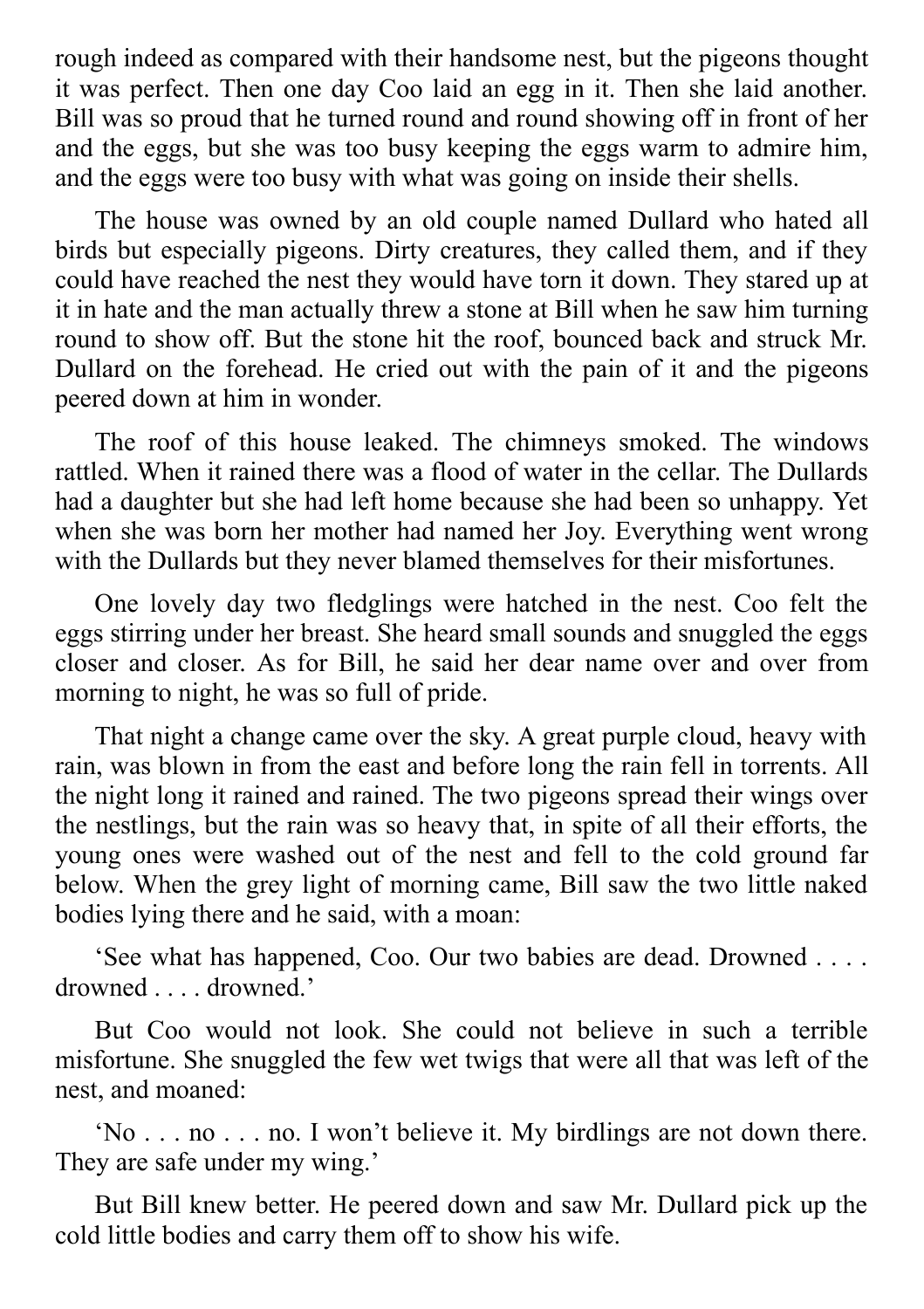rough indeed as compared with their handsome nest, but the pigeons thought it was perfect. Then one day Coo laid an egg in it. Then she laid another. Bill was so proud that he turned round and round showing off in front of her and the eggs, but she was too busy keeping the eggs warm to admire him, and the eggs were too busy with what was going on inside their shells.

The house was owned by an old couple named Dullard who hated all birds but especially pigeons. Dirty creatures, they called them, and if they could have reached the nest they would have torn it down. They stared up at it in hate and the man actually threw a stone at Bill when he saw him turning round to show off. But the stone hit the roof, bounced back and struck Mr. Dullard on the forehead. He cried out with the pain of it and the pigeons peered down at him in wonder.

The roof of this house leaked. The chimneys smoked. The windows rattled. When it rained there was a flood of water in the cellar. The Dullards had a daughter but she had left home because she had been so unhappy. Yet when she was born her mother had named her Joy. Everything went wrong with the Dullards but they never blamed themselves for their misfortunes.

One lovely day two fledglings were hatched in the nest. Coo felt the eggs stirring under her breast. She heard small sounds and snuggled the eggs closer and closer. As for Bill, he said her dear name over and over from morning to night, he was so full of pride.

That night a change came over the sky. A great purple cloud, heavy with rain, was blown in from the east and before long the rain fell in torrents. All the night long it rained and rained. The two pigeons spread their wings over the nestlings, but the rain was so heavy that, in spite of all their efforts, the young ones were washed out of the nest and fell to the cold ground far below. When the grey light of morning came, Bill saw the two little naked bodies lying there and he said, with a moan:

'See what has happened, Coo. Our two babies are dead. Drowned . . . . drowned . . . . drowned.'

But Coo would not look. She could not believe in such a terrible misfortune. She snuggled the few wet twigs that were all that was left of the nest, and moaned:

'No . . . no . . . no. I won't believe it. My birdlings are not down there. They are safe under my wing.'

But Bill knew better. He peered down and saw Mr. Dullard pick up the cold little bodies and carry them off to show his wife.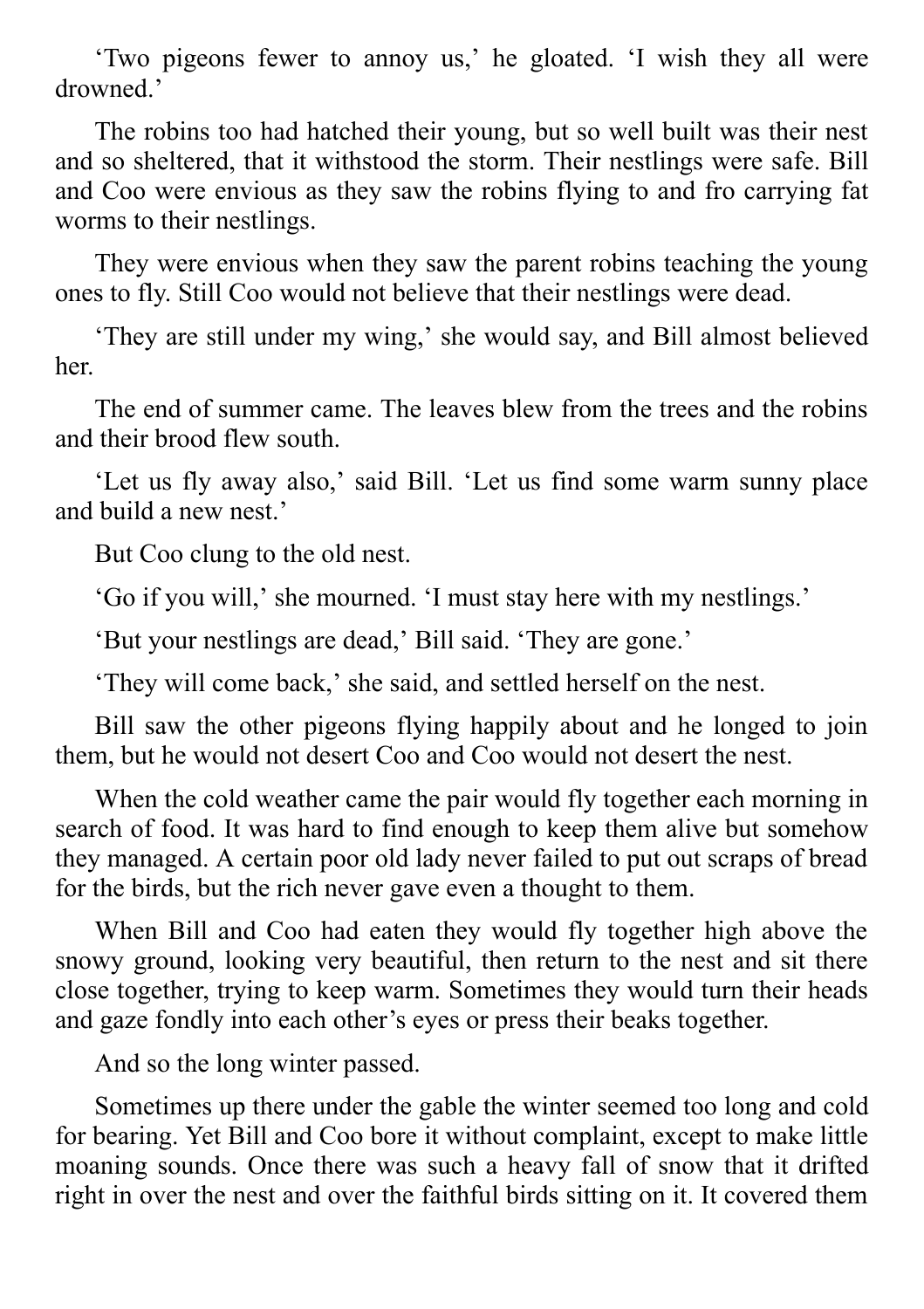'Two pigeons fewer to annoy us,' he gloated. 'I wish they all were drowned.'

The robins too had hatched their young, but so well built was their nest and so sheltered, that it withstood the storm. Their nestlings were safe. Bill and Coo were envious as they saw the robins flying to and fro carrying fat worms to their nestlings.

They were envious when they saw the parent robins teaching the young ones to fly. Still Coo would not believe that their nestlings were dead.

'They are still under my wing,' she would say, and Bill almost believed her.

The end of summer came. The leaves blew from the trees and the robins and their brood flew south.

'Let us fly away also,' said Bill. 'Let us find some warm sunny place and build a new nest.'

But Coo clung to the old nest.

'Go if you will,' she mourned. 'I must stay here with my nestlings.'

'But your nestlings are dead,' Bill said. 'They are gone.'

'They will come back,' she said, and settled herself on the nest.

Bill saw the other pigeons flying happily about and he longed to join them, but he would not desert Coo and Coo would not desert the nest.

When the cold weather came the pair would fly together each morning in search of food. It was hard to find enough to keep them alive but somehow they managed. A certain poor old lady never failed to put out scraps of bread for the birds, but the rich never gave even a thought to them.

When Bill and Coo had eaten they would fly together high above the snowy ground, looking very beautiful, then return to the nest and sit there close together, trying to keep warm. Sometimes they would turn their heads and gaze fondly into each other's eyes or press their beaks together.

And so the long winter passed.

Sometimes up there under the gable the winter seemed too long and cold for bearing. Yet Bill and Coo bore it without complaint, except to make little moaning sounds. Once there was such a heavy fall of snow that it drifted right in over the nest and over the faithful birds sitting on it. It covered them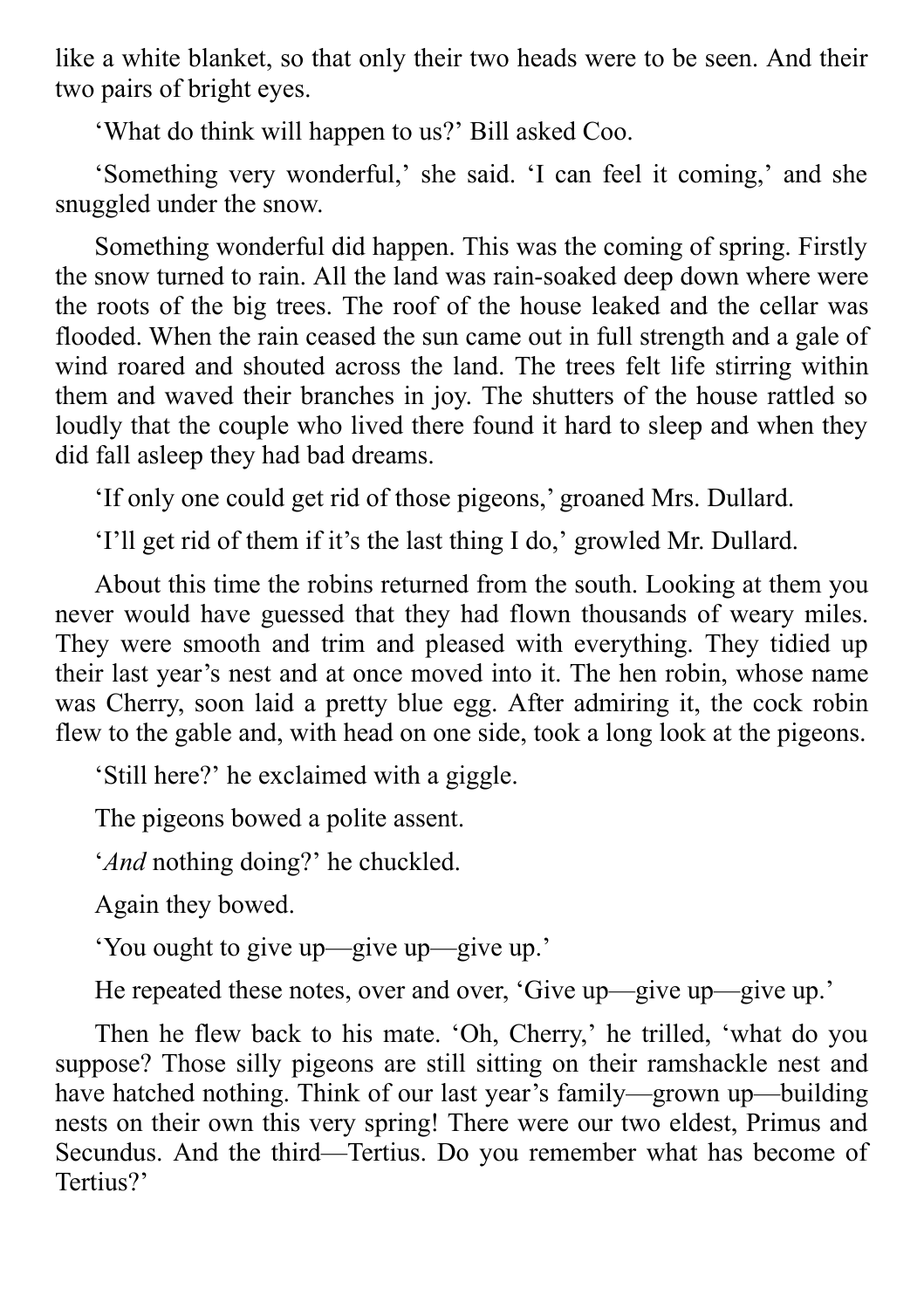like a white blanket, so that only their two heads were to be seen. And their two pairs of bright eyes.

'What do think will happen to us?' Bill asked Coo.

'Something very wonderful,' she said. 'I can feel it coming,' and she snuggled under the snow.

Something wonderful did happen. This was the coming of spring. Firstly the snow turned to rain. All the land was rain-soaked deep down where were the roots of the big trees. The roof of the house leaked and the cellar was flooded. When the rain ceased the sun came out in full strength and a gale of wind roared and shouted across the land. The trees felt life stirring within them and waved their branches in joy. The shutters of the house rattled so loudly that the couple who lived there found it hard to sleep and when they did fall asleep they had bad dreams.

'If only one could get rid of those pigeons,' groaned Mrs. Dullard.

'I'll get rid of them if it's the last thing I do,' growled Mr. Dullard.

About this time the robins returned from the south. Looking at them you never would have guessed that they had flown thousands of weary miles. They were smooth and trim and pleased with everything. They tidied up their last year's nest and at once moved into it. The hen robin, whose name was Cherry, soon laid a pretty blue egg. After admiring it, the cock robin flew to the gable and, with head on one side, took a long look at the pigeons.

'Still here?' he exclaimed with a giggle.

The pigeons bowed a polite assent.

'*And* nothing doing?' he chuckled.

Again they bowed.

'You ought to give up—give up—give up.'

He repeated these notes, over and over, 'Give up—give up—give up.'

Then he flew back to his mate. 'Oh, Cherry,' he trilled, 'what do you suppose? Those silly pigeons are still sitting on their ramshackle nest and have hatched nothing. Think of our last year's family—grown up—building nests on their own this very spring! There were our two eldest, Primus and Secundus. And the third—Tertius. Do you remember what has become of Tertius?'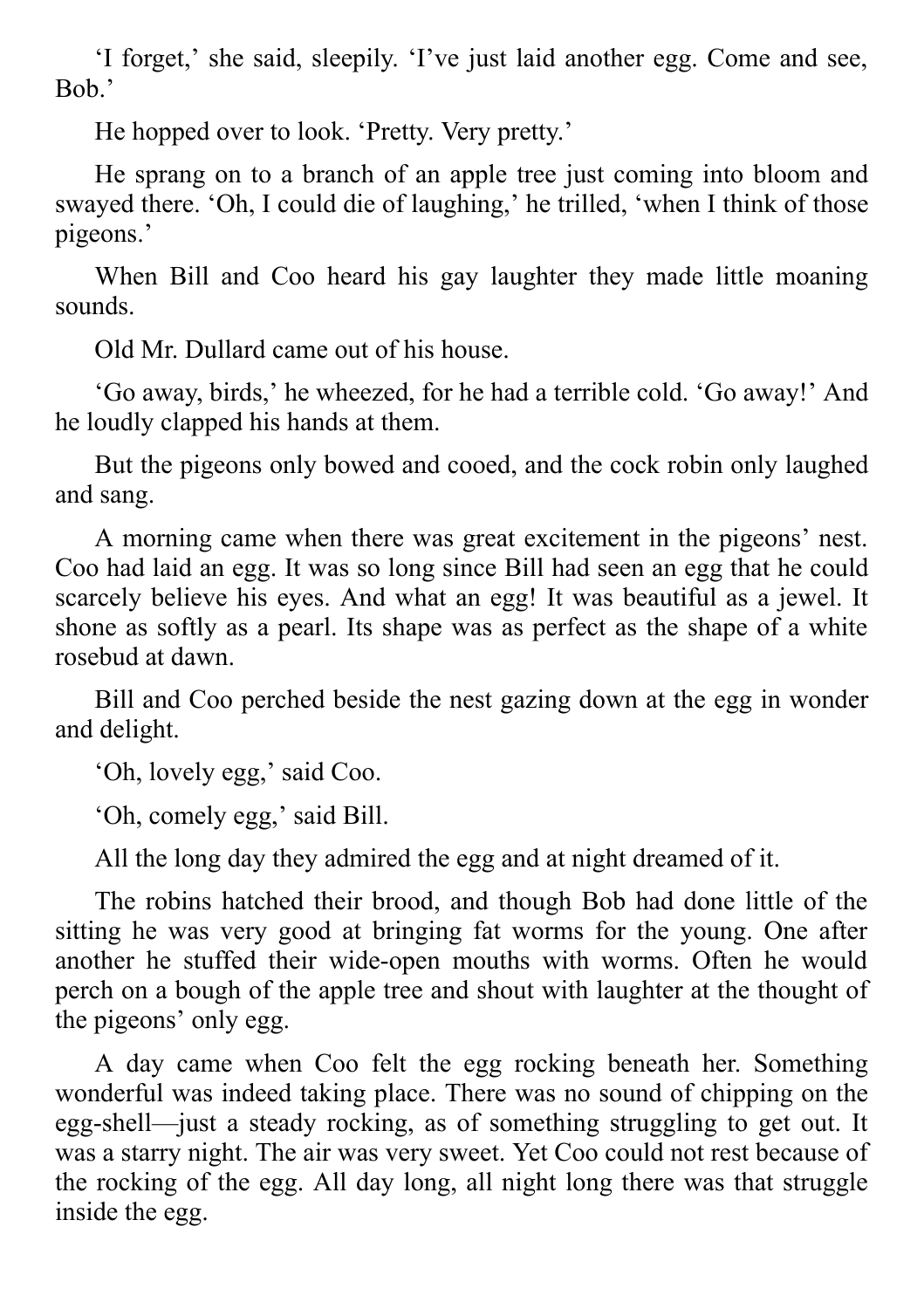'I forget,' she said, sleepily. 'I've just laid another egg. Come and see, Bob.'

He hopped over to look. 'Pretty. Very pretty.'

He sprang on to a branch of an apple tree just coming into bloom and swayed there. 'Oh, I could die of laughing,' he trilled, 'when I think of those pigeons.'

When Bill and Coo heard his gay laughter they made little moaning sounds.

Old Mr. Dullard came out of his house.

'Go away, birds,' he wheezed, for he had a terrible cold. 'Go away!' And he loudly clapped his hands at them.

But the pigeons only bowed and cooed, and the cock robin only laughed and sang.

A morning came when there was great excitement in the pigeons' nest. Coo had laid an egg. It was so long since Bill had seen an egg that he could scarcely believe his eyes. And what an egg! It was beautiful as a jewel. It shone as softly as a pearl. Its shape was as perfect as the shape of a white rosebud at dawn.

Bill and Coo perched beside the nest gazing down at the egg in wonder and delight.

'Oh, lovely egg,' said Coo.

'Oh, comely egg,' said Bill.

All the long day they admired the egg and at night dreamed of it.

The robins hatched their brood, and though Bob had done little of the sitting he was very good at bringing fat worms for the young. One after another he stuffed their wide-open mouths with worms. Often he would perch on a bough of the apple tree and shout with laughter at the thought of the pigeons' only egg.

A day came when Coo felt the egg rocking beneath her. Something wonderful was indeed taking place. There was no sound of chipping on the egg-shell—just a steady rocking, as of something struggling to get out. It was a starry night. The air was very sweet. Yet Coo could not rest because of the rocking of the egg. All day long, all night long there was that struggle inside the egg.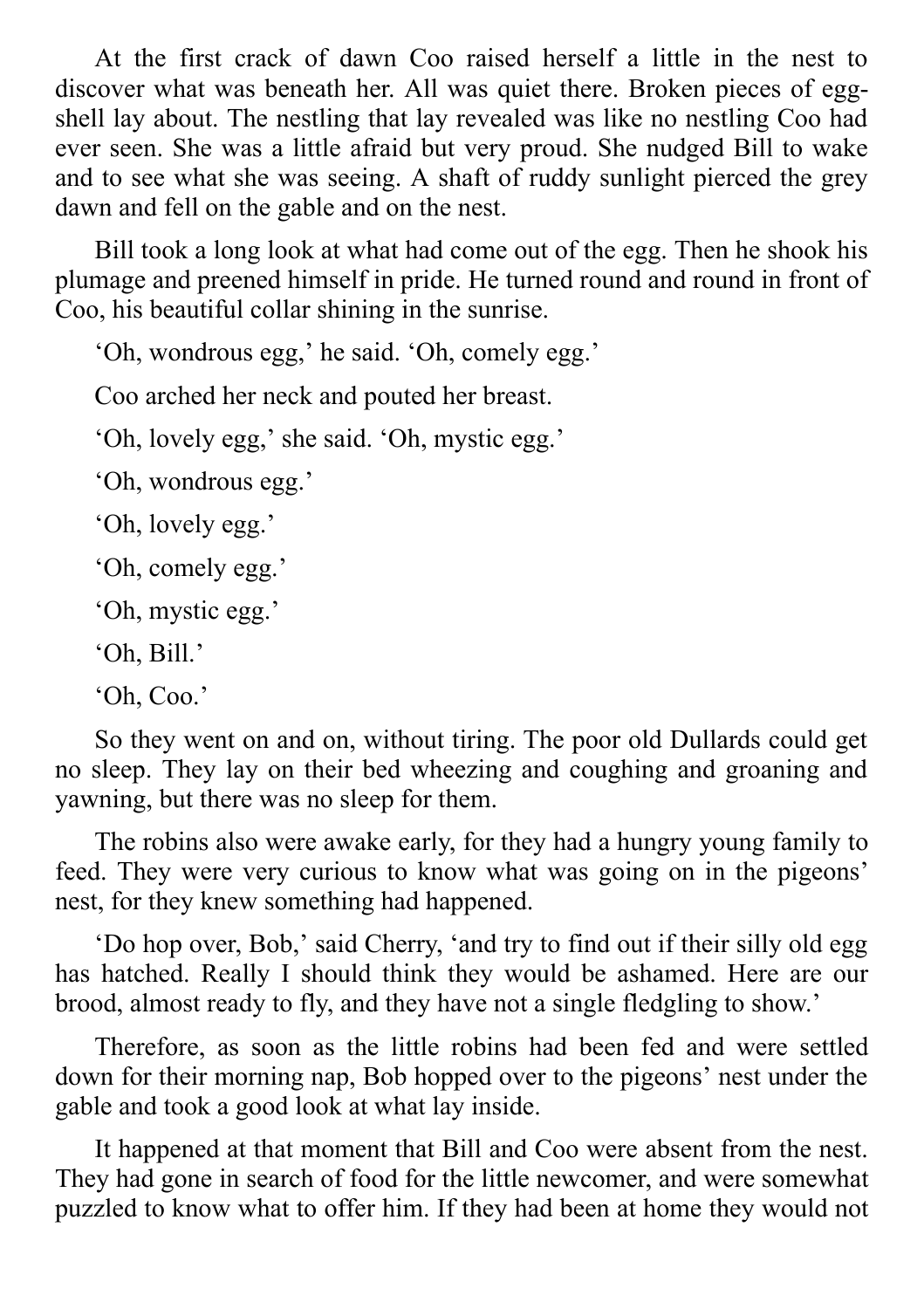At the first crack of dawn Coo raised herself a little in the nest to discover what was beneath her. All was quiet there. Broken pieces of eggshell lay about. The nestling that lay revealed was like no nestling Coo had ever seen. She was a little afraid but very proud. She nudged Bill to wake and to see what she was seeing. A shaft of ruddy sunlight pierced the grey dawn and fell on the gable and on the nest.

Bill took a long look at what had come out of the egg. Then he shook his plumage and preened himself in pride. He turned round and round in front of Coo, his beautiful collar shining in the sunrise.

'Oh, wondrous egg,' he said. 'Oh, comely egg.'

Coo arched her neck and pouted her breast.

'Oh, lovely egg,' she said. 'Oh, mystic egg.'

'Oh, wondrous egg.'

'Oh, lovely egg.'

'Oh, comely egg.'

'Oh, mystic egg.'

'Oh, Bill.'

'Oh, Coo.'

So they went on and on, without tiring. The poor old Dullards could get no sleep. They lay on their bed wheezing and coughing and groaning and yawning, but there was no sleep for them.

The robins also were awake early, for they had a hungry young family to feed. They were very curious to know what was going on in the pigeons' nest, for they knew something had happened.

'Do hop over, Bob,' said Cherry, 'and try to find out if their silly old egg has hatched. Really I should think they would be ashamed. Here are our brood, almost ready to fly, and they have not a single fledgling to show.'

Therefore, as soon as the little robins had been fed and were settled down for their morning nap, Bob hopped over to the pigeons' nest under the gable and took a good look at what lay inside.

It happened at that moment that Bill and Coo were absent from the nest. They had gone in search of food for the little newcomer, and were somewhat puzzled to know what to offer him. If they had been at home they would not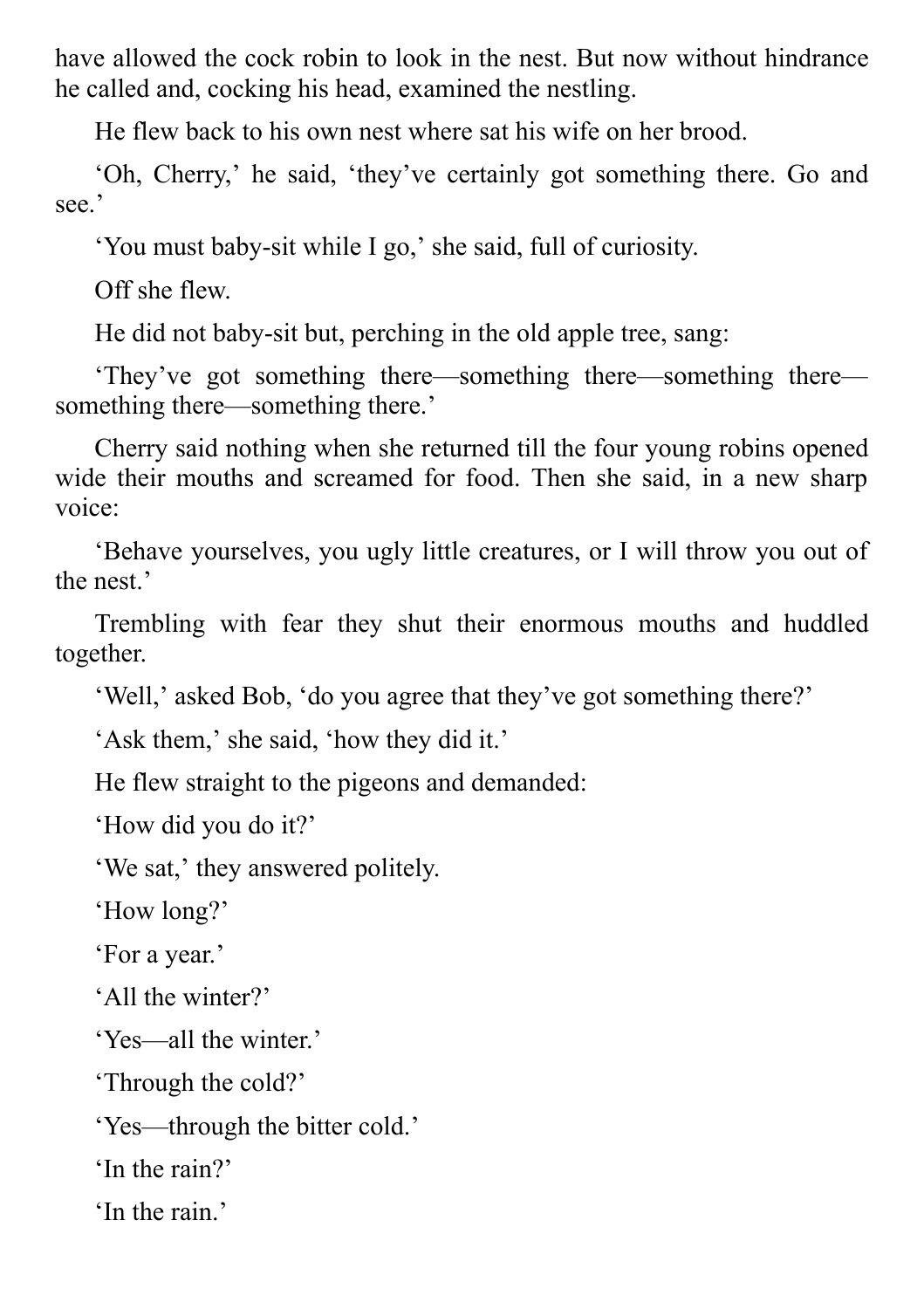have allowed the cock robin to look in the nest. But now without hindrance he called and, cocking his head, examined the nestling.

He flew back to his own nest where sat his wife on her brood.

'Oh, Cherry,' he said, 'they've certainly got something there. Go and see.'

'You must baby-sit while I go,' she said, full of curiosity.

Off she flew.

He did not baby-sit but, perching in the old apple tree, sang:

'They've got something there—something there—something there something there—something there.'

Cherry said nothing when she returned till the four young robins opened wide their mouths and screamed for food. Then she said, in a new sharp voice:

'Behave yourselves, you ugly little creatures, or I will throw you out of the nest.'

Trembling with fear they shut their enormous mouths and huddled together.

'Well,' asked Bob, 'do you agree that they've got something there?'

'Ask them,' she said, 'how they did it.'

He flew straight to the pigeons and demanded:

'How did you do it?'

'We sat,' they answered politely.

'How long?'

'For a year.'

'All the winter?'

'Yes—all the winter.'

'Through the cold?'

'Yes—through the bitter cold.'

'In the rain?'

'In the rain.'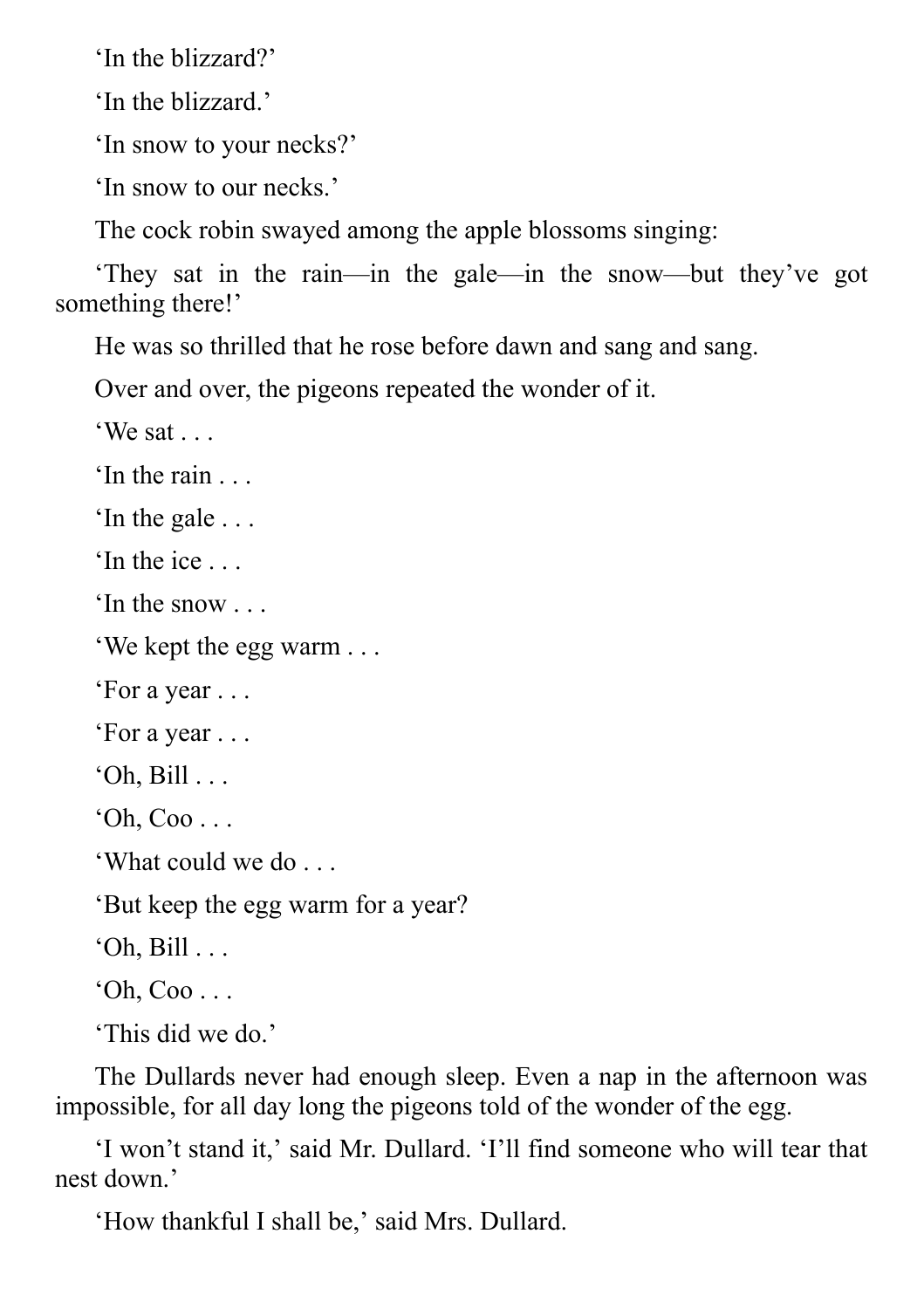'In the blizzard?'

'In the blizzard.'

'In snow to your necks?'

'In snow to our necks.'

The cock robin swayed among the apple blossoms singing:

'They sat in the rain—in the gale—in the snow—but they've got something there!'

He was so thrilled that he rose before dawn and sang and sang.

Over and over, the pigeons repeated the wonder of it.

'We sat . . .

'In the rain . . .

'In the gale . . .

'In the ice . . .

'In the snow . . .

'We kept the egg warm . . .

'For a year . . .

'For a year . . .

 $'Oh, Bill \ldots$ 

 $'Oh. Coo...$ 

'What could we do . . .

'But keep the egg warm for a year?

 $'Oh, Bill \ldots$ 

 $'Oh, Coo...$ 

'This did we do.'

The Dullards never had enough sleep. Even a nap in the afternoon was impossible, for all day long the pigeons told of the wonder of the egg.

'I won't stand it,' said Mr. Dullard. 'I'll find someone who will tear that nest down.'

'How thankful I shall be,' said Mrs. Dullard.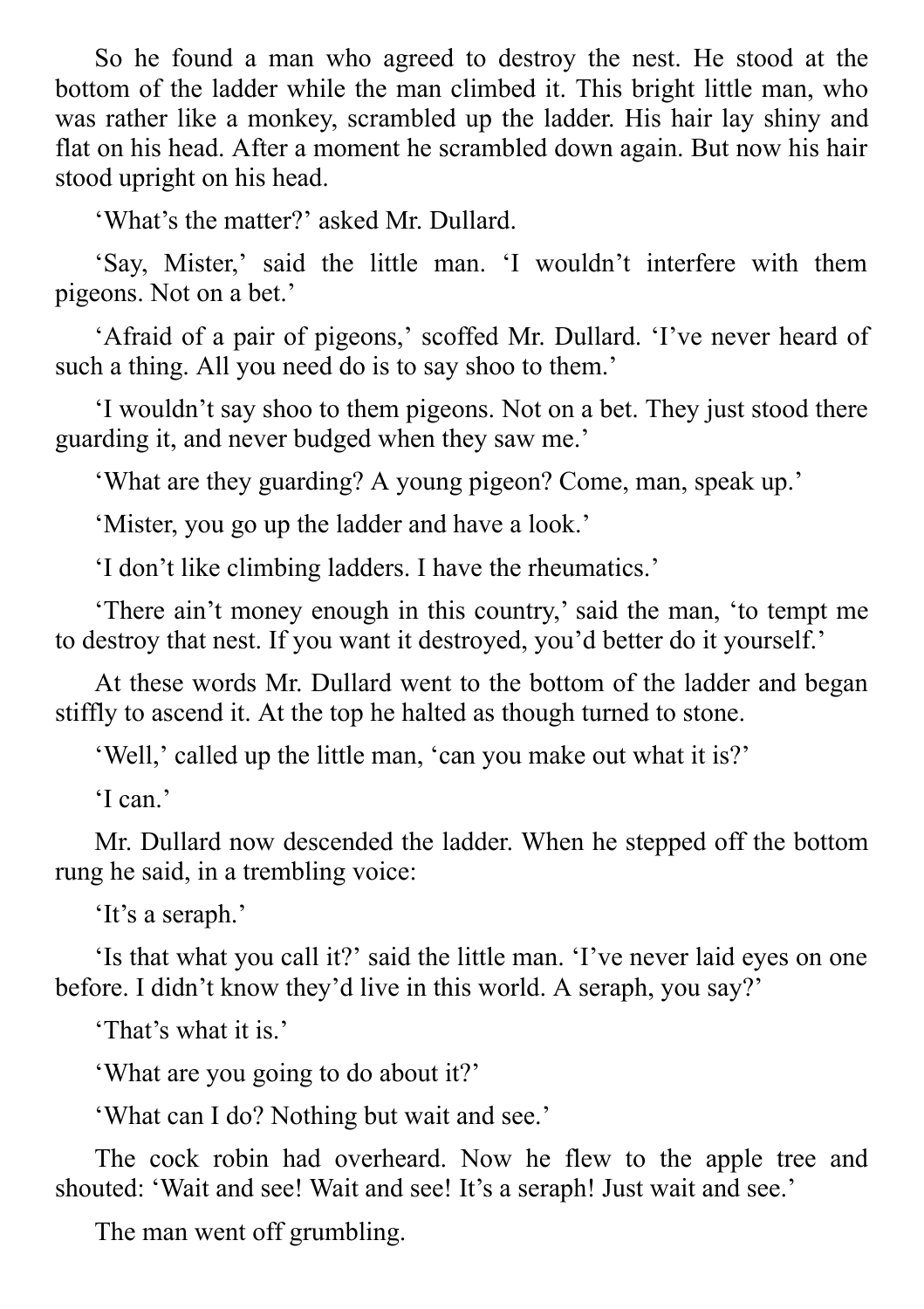So he found a man who agreed to destroy the nest. He stood at the bottom of the ladder while the man climbed it. This bright little man, who was rather like a monkey, scrambled up the ladder. His hair lay shiny and flat on his head. After a moment he scrambled down again. But now his hair stood upright on his head.

'What's the matter?' asked Mr. Dullard.

'Say, Mister,' said the little man. 'I wouldn't interfere with them pigeons. Not on a bet.'

'Afraid of a pair of pigeons,' scoffed Mr. Dullard. 'I've never heard of such a thing. All you need do is to say shoo to them.'

'I wouldn't say shoo to them pigeons. Not on a bet. They just stood there guarding it, and never budged when they saw me.'

'What are they guarding? A young pigeon? Come, man, speak up.'

'Mister, you go up the ladder and have a look.'

'I don't like climbing ladders. I have the rheumatics.'

'There ain't money enough in this country,' said the man, 'to tempt me to destroy that nest. If you want it destroyed, you'd better do it yourself.'

At these words Mr. Dullard went to the bottom of the ladder and began stiffly to ascend it. At the top he halted as though turned to stone.

'Well,' called up the little man, 'can you make out what it is?'

'I can.'

Mr. Dullard now descended the ladder. When he stepped off the bottom rung he said, in a trembling voice:

'It's a seraph.'

'Is that what you call it?' said the little man. 'I've never laid eyes on one before. I didn't know they'd live in this world. A seraph, you say?'

'That's what it is.'

'What are you going to do about it?'

'What can I do? Nothing but wait and see.'

The cock robin had overheard. Now he flew to the apple tree and shouted: 'Wait and see! Wait and see! It's a seraph! Just wait and see.'

The man went off grumbling.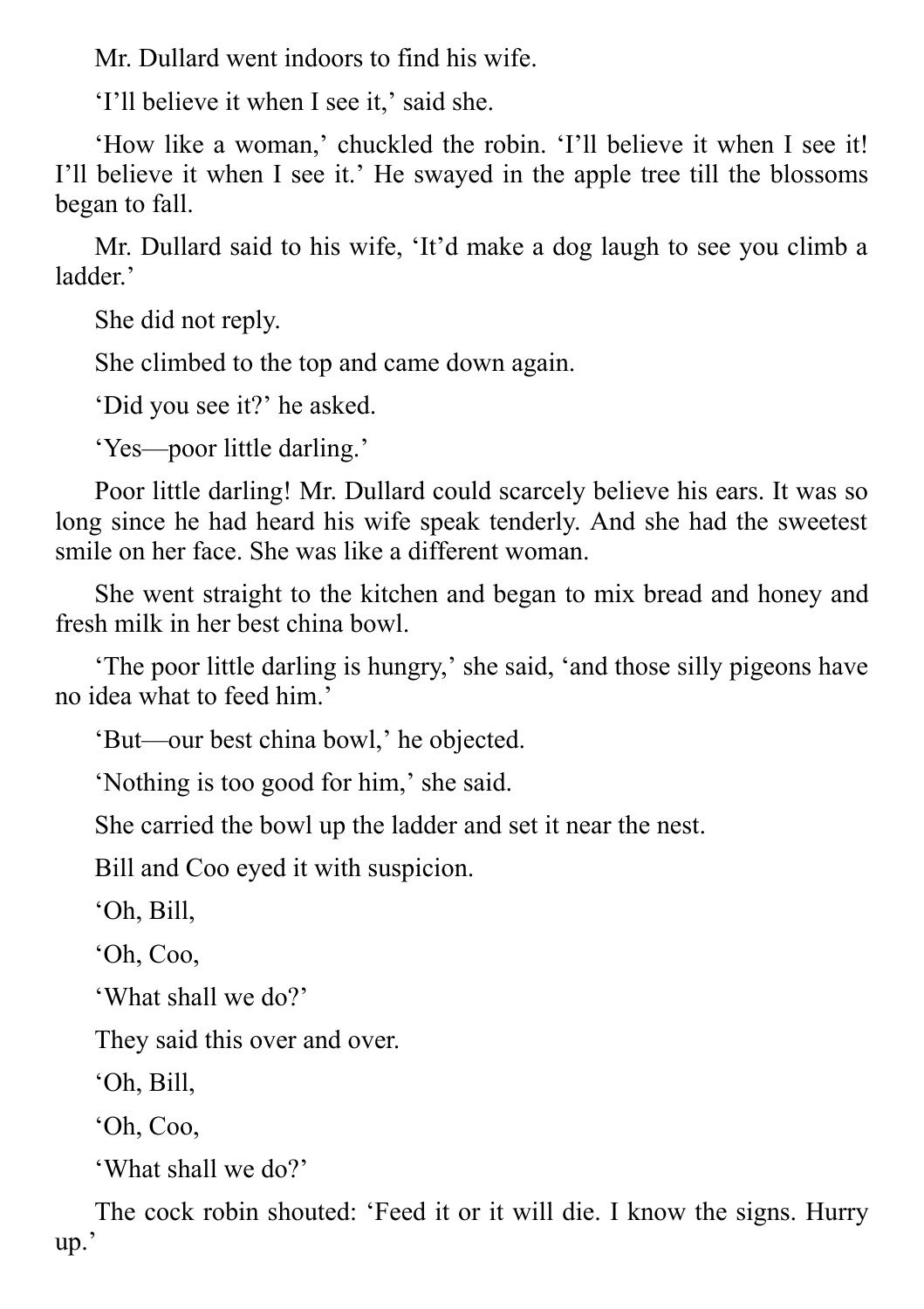Mr. Dullard went indoors to find his wife.

'I'll believe it when I see it,' said she.

'How like a woman,' chuckled the robin. 'I'll believe it when I see it! I'll believe it when I see it.' He swayed in the apple tree till the blossoms began to fall.

Mr. Dullard said to his wife, 'It'd make a dog laugh to see you climb a ladder.'

She did not reply.

She climbed to the top and came down again.

'Did you see it?' he asked.

'Yes—poor little darling.'

Poor little darling! Mr. Dullard could scarcely believe his ears. It was so long since he had heard his wife speak tenderly. And she had the sweetest smile on her face. She was like a different woman.

She went straight to the kitchen and began to mix bread and honey and fresh milk in her best china bowl.

'The poor little darling is hungry,' she said, 'and those silly pigeons have no idea what to feed him.'

'But—our best china bowl,' he objected.

'Nothing is too good for him,' she said.

She carried the bowl up the ladder and set it near the nest.

Bill and Coo eyed it with suspicion.

'Oh, Bill,

'Oh, Coo,

'What shall we do?'

They said this over and over.

'Oh, Bill,

'Oh, Coo,

'What shall we do?'

The cock robin shouted: 'Feed it or it will die. I know the signs. Hurry up.'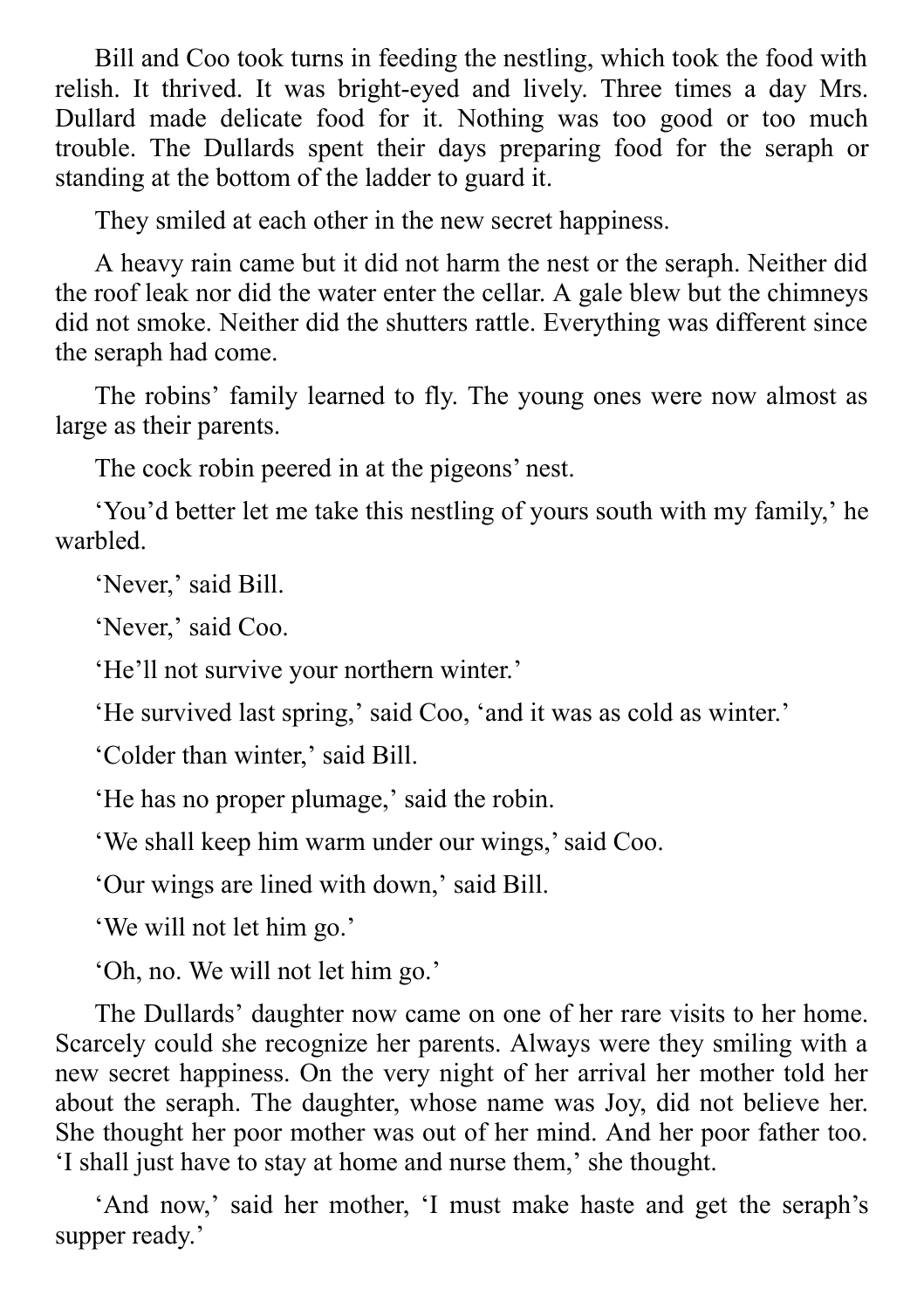Bill and Coo took turns in feeding the nestling, which took the food with relish. It thrived. It was bright-eyed and lively. Three times a day Mrs. Dullard made delicate food for it. Nothing was too good or too much trouble. The Dullards spent their days preparing food for the seraph or standing at the bottom of the ladder to guard it.

They smiled at each other in the new secret happiness.

A heavy rain came but it did not harm the nest or the seraph. Neither did the roof leak nor did the water enter the cellar. A gale blew but the chimneys did not smoke. Neither did the shutters rattle. Everything was different since the seraph had come.

The robins' family learned to fly. The young ones were now almost as large as their parents.

The cock robin peered in at the pigeons' nest.

'You'd better let me take this nestling of yours south with my family,' he warbled.

'Never,' said Bill.

'Never,' said Coo.

'He'll not survive your northern winter.'

'He survived last spring,' said Coo, 'and it was as cold as winter.'

'Colder than winter,' said Bill.

'He has no proper plumage,' said the robin.

'We shall keep him warm under our wings,' said Coo.

'Our wings are lined with down,' said Bill.

'We will not let him go.'

'Oh, no. We will not let him go.'

The Dullards' daughter now came on one of her rare visits to her home. Scarcely could she recognize her parents. Always were they smiling with a new secret happiness. On the very night of her arrival her mother told her about the seraph. The daughter, whose name was Joy, did not believe her. She thought her poor mother was out of her mind. And her poor father too. 'I shall just have to stay at home and nurse them,' she thought.

'And now,' said her mother, 'I must make haste and get the seraph's supper ready.'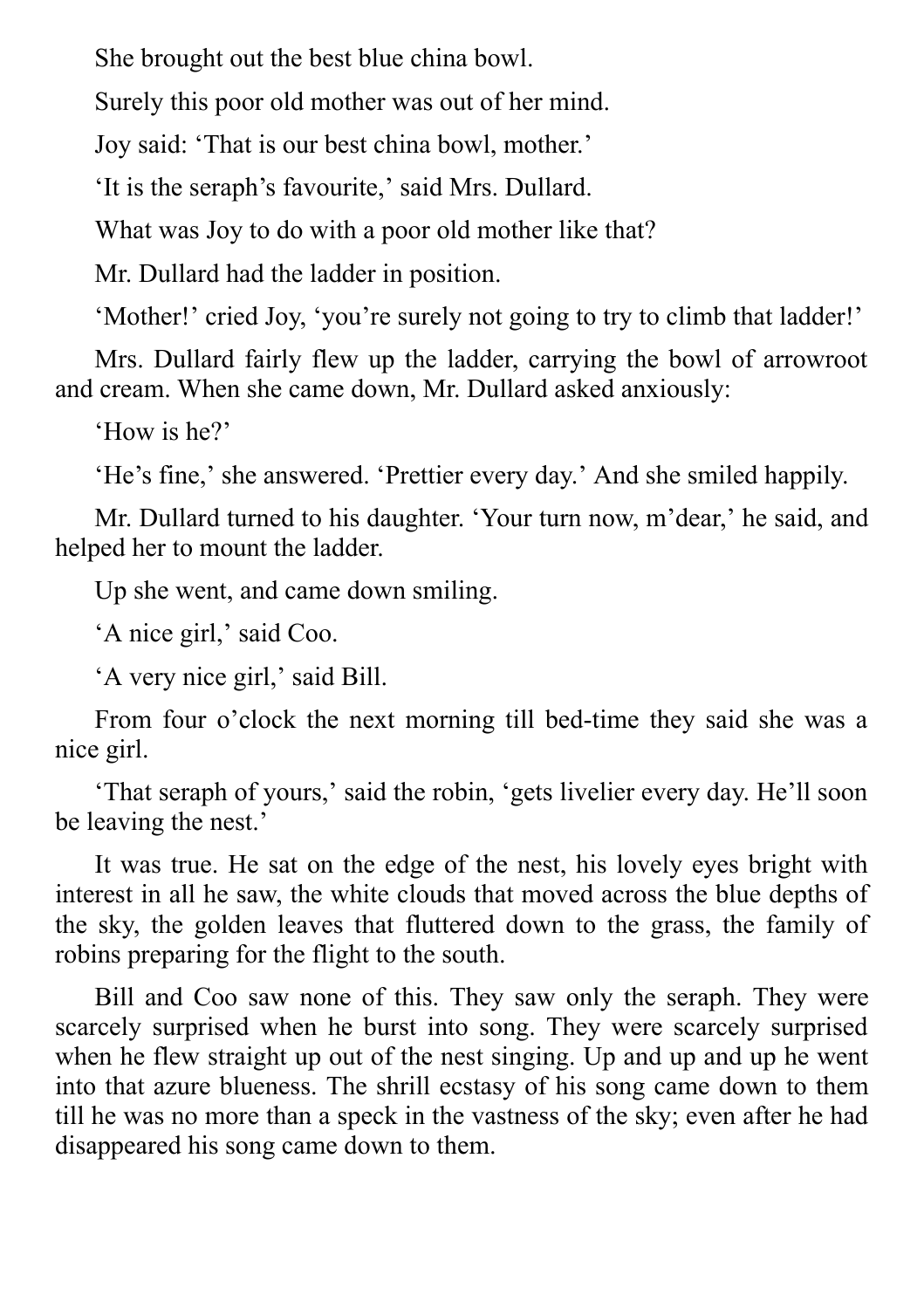She brought out the best blue china bowl.

Surely this poor old mother was out of her mind.

Joy said: 'That is our best china bowl, mother.'

'It is the seraph's favourite,' said Mrs. Dullard.

What was Joy to do with a poor old mother like that?

Mr. Dullard had the ladder in position.

'Mother!' cried Joy, 'you're surely not going to try to climb that ladder!'

Mrs. Dullard fairly flew up the ladder, carrying the bowl of arrowroot and cream. When she came down, Mr. Dullard asked anxiously:

'How is he?'

'He's fine,' she answered. 'Prettier every day.' And she smiled happily.

Mr. Dullard turned to his daughter. 'Your turn now, m'dear,' he said, and helped her to mount the ladder.

Up she went, and came down smiling.

'A nice girl,' said Coo.

'A very nice girl,' said Bill.

From four o'clock the next morning till bed-time they said she was a nice girl.

'That seraph of yours,' said the robin, 'gets livelier every day. He'll soon be leaving the nest.'

It was true. He sat on the edge of the nest, his lovely eyes bright with interest in all he saw, the white clouds that moved across the blue depths of the sky, the golden leaves that fluttered down to the grass, the family of robins preparing for the flight to the south.

Bill and Coo saw none of this. They saw only the seraph. They were scarcely surprised when he burst into song. They were scarcely surprised when he flew straight up out of the nest singing. Up and up and up he went into that azure blueness. The shrill ecstasy of his song came down to them till he was no more than a speck in the vastness of the sky; even after he had disappeared his song came down to them.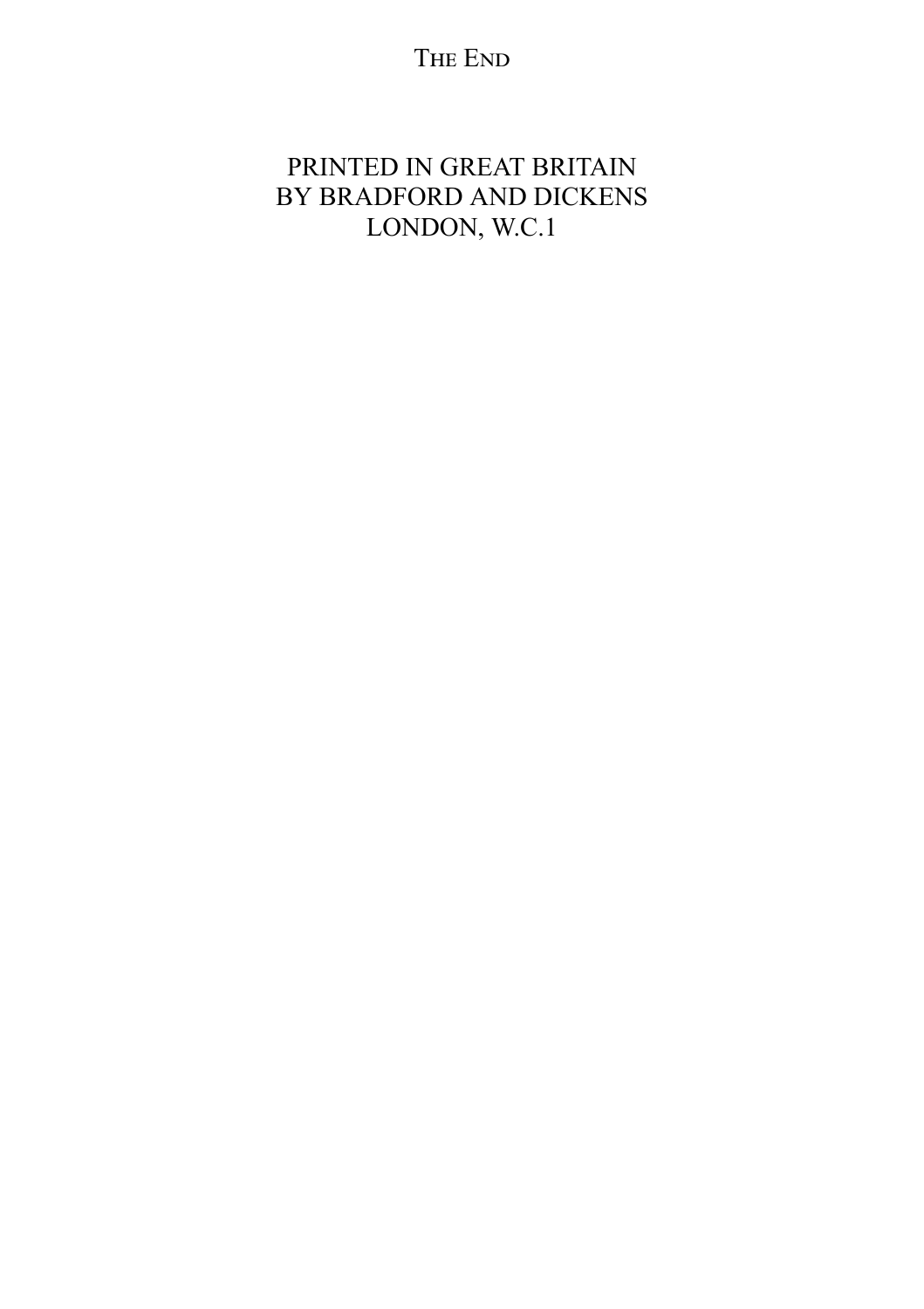### THE END

### PRINTED IN GREAT BRITAIN BY BRADFORD AND DICKENS LONDON, W.C.1